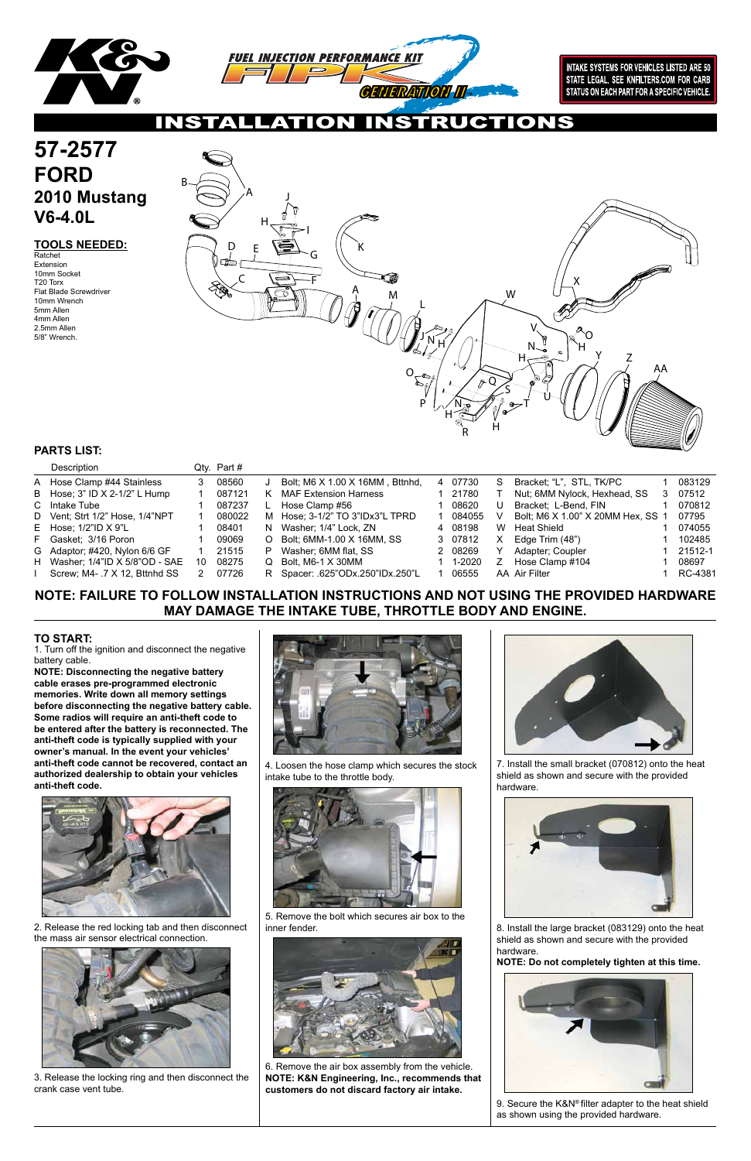

**INTAKE SYSTEMS FOR VEHICLES LISTED ARE 50** STATE LEGAL. SEE KNFILTERS.COM FOR CARB STATUS ON EACH PART FOR A SPECIFIC VEHICLE.

IONS NS I

### **TOOLS NEEDED:**

### **NOTE: FAILURE TO FOLLOW INSTALLATION INSTRUCTIONS AND NOT USING THE PROVIDED HARDWARE MAY DAMAGE THE INTAKE TUBE, THROTTLE BODY AND ENGINE.**

### **PARTS LIST:**

1. Turn off the ignition and disconnect the negative battery cable.

# **57-2577 FORD 2010 Mustang V6-4.0L**

**NOTE: Disconnecting the negative battery cable erases pre-programmed electronic memories. Write down all memory settings before disconnecting the negative battery cable. Some radios will require an anti-theft code to be entered after the battery is reconnected. The anti-theft code is typically supplied with your owner's manual. In the event your vehicles' anti-theft code cannot be recovered, contact an authorized dealership to obtain your vehicles anti-theft code.**



### **TO START:**

2. Release the red locking tab and then disconnect the mass air sensor electrical connection.



Ratchet Extension 10mm Socket T20 Torx Flat Blade Screwdriver 10mm Wrench 5mm Allen 4mm Allen 2.5mm Allen 5/8" Wrench.

3. Release the locking ring and then disconnect the crank case vent tube.



4. Loosen the hose clamp which secures the stock intake tube to the throttle body.



5. Remove the bolt which secures air box to the inner fender.



6. Remove the air box assembly from the vehicle. **NOTE: K&N Engineering, Inc., recommends that customers do not discard factory air intake.**



7. Install the small bracket (070812) onto the heat shield as shown and secure with the provided hardware.



| Description                     |    | Qty. Part# |          |                                  |   |         |    |                                   |   |         |
|---------------------------------|----|------------|----------|----------------------------------|---|---------|----|-----------------------------------|---|---------|
| A Hose Clamp #44 Stainless      |    | 08560      |          | Bolt; M6 X 1.00 X 16MM, Bttnhd,  | 4 | 07730   | S. | Bracket; "L", STL, TK/PC          |   | 083129  |
| B Hose; $3"$ ID X 2-1/2" L Hump |    | 087121     |          | <b>MAF Extension Harness</b>     |   | 21780   |    | Nut; 6MM Nylock, Hexhead, SS      | З | 07512   |
| C Intake Tube                   |    | 087237     |          | Hose Clamp #56                   |   | 08620   | U  | Bracket; L-Bend, FIN              |   | 070812  |
| D Vent; Strt 1/2" Hose, 1/4"NPT |    | 080022     |          | M Hose; 3-1/2" TO 3"IDx3"L TPRD  |   | 084055  |    | Bolt; M6 X 1.00" X 20MM Hex, SS 1 |   | 07795   |
| E Hose; $1/2$ "ID $X$ 9"L       |    | 08401      |          | N Washer; 1/4" Lock, ZN          |   | 4 08198 | W  | <b>Heat Shield</b>                |   | 074055  |
| F Gasket; 3/16 Poron            |    | 09069      | $\Omega$ | Bolt; 6MM-1.00 X 16MM, SS        |   | 3 07812 | X. | Edge Trim (48")                   |   | 102485  |
| G Adaptor; #420, Nylon 6/6 GF   |    | 21515      | P.       | Washer; 6MM flat, SS             |   | 2 08269 |    | Adapter; Coupler                  |   | 21512-1 |
| H Washer; 1/4"ID X 5/8"OD - SAE | 10 | 08275      | $\Omega$ | Bolt, M6-1 X 30MM                |   | 1-2020  |    | Hose Clamp #104                   |   | 08697   |
| Screw; M4-.7 X 12, Bttnhd SS    |    | 07726      |          | R Spacer: .625"ODx.250"IDx.250"L |   | 06555   |    | AA Air Filter                     |   | RC-4381 |

8. Install the large bracket (083129) onto the heat shield as shown and secure with the provided hardware.

**NOTE: Do not completely tighten at this time.**



9. Secure the K&N® filter adapter to the heat shield as shown using the provided hardware.

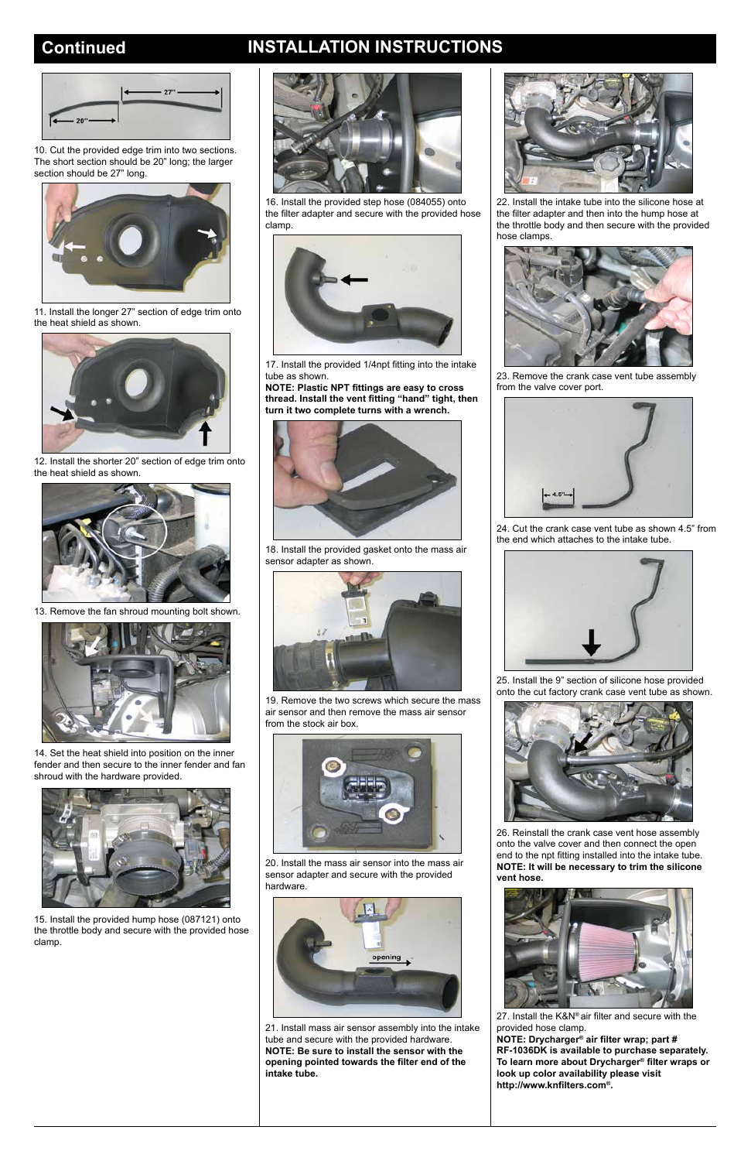## **Continued INSTALLATION INSTRUCTIONS**



22. Install the intake tube into the silicone hose at the filter adapter and then into the hump hose at the throttle body and then secure with the provided hose clamps.





10. Cut the provided edge trim into two sections. The short section should be 20" long; the larger section should be 27" long.



11. Install the longer 27" section of edge trim onto the heat shield as shown.



12. Install the shorter 20" section of edge trim onto the heat shield as shown.



13. Remove the fan shroud mounting bolt shown.



14. Set the heat shield into position on the inner fender and then secure to the inner fender and fan shroud with the hardware provided.



15. Install the provided hump hose (087121) onto the throttle body and secure with the provided hose clamp.



16. Install the provided step hose (084055) onto the filter adapter and secure with the provided hose clamp.



17. Install the provided 1/4npt fitting into the intake tube as shown.

**NOTE: Plastic NPT fittings are easy to cross thread. Install the vent fitting "hand" tight, then turn it two complete turns with a wrench.**



18. Install the provided gasket onto the mass air sensor adapter as shown.



19. Remove the two screws which secure the mass air sensor and then remove the mass air sensor from the stock air box.



20. Install the mass air sensor into the mass air sensor adapter and secure with the provided hardware.



21. Install mass air sensor assembly into the intake tube and secure with the provided hardware. **NOTE: Be sure to install the sensor with the opening pointed towards the filter end of the intake tube.**

23. Remove the crank case vent tube assembly from the valve cover port.



24. Cut the crank case vent tube as shown 4.5" from the end which attaches to the intake tube.



25. Install the 9" section of silicone hose provided onto the cut factory crank case vent tube as shown.



26. Reinstall the crank case vent hose assembly onto the valve cover and then connect the open

end to the npt fitting installed into the intake tube. **NOTE: It will be necessary to trim the silicone vent hose.**



27. Install the K&N® air filter and secure with the provided hose clamp.

**NOTE: Drycharger® air filter wrap; part # RF-1036DK is available to purchase separately. To learn more about Drycharger® filter wraps or look up color availability please visit http://www.knfilters.com®.**